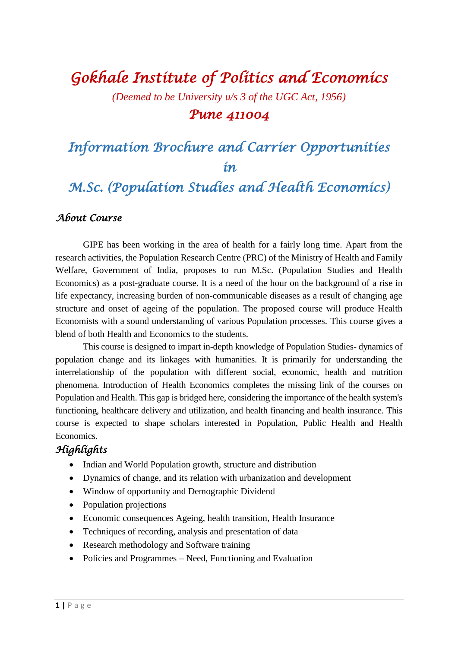# *Gokhale Institute of Politics and Economics*

*(Deemed to be University u/s 3 of the UGC Act, 1956)*

#### *Pune 411004*

## *Information Brochure and Carrier Opportunities in*

### *M.Sc. (Population Studies and Health Economics)*

#### *About Course*

GIPE has been working in the area of health for a fairly long time. Apart from the research activities, the Population Research Centre (PRC) of the Ministry of Health and Family Welfare, Government of India, proposes to run M.Sc. (Population Studies and Health Economics) as a post-graduate course. It is a need of the hour on the background of a rise in life expectancy, increasing burden of non-communicable diseases as a result of changing age structure and onset of ageing of the population. The proposed course will produce Health Economists with a sound understanding of various Population processes. This course gives a blend of both Health and Economics to the students.

This course is designed to impart in-depth knowledge of Population Studies- dynamics of population change and its linkages with humanities. It is primarily for understanding the interrelationship of the population with different social, economic, health and nutrition phenomena. Introduction of Health Economics completes the missing link of the courses on Population and Health. This gap is bridged here, considering the importance of the health system's functioning, healthcare delivery and utilization, and health financing and health insurance. This course is expected to shape scholars interested in Population, Public Health and Health Economics.

#### *Highlights*

- Indian and World Population growth, structure and distribution
- Dynamics of change, and its relation with urbanization and development
- Window of opportunity and Demographic Dividend
- Population projections
- Economic consequences Ageing, health transition, Health Insurance
- Techniques of recording, analysis and presentation of data
- Research methodology and Software training
- Policies and Programmes Need, Functioning and Evaluation